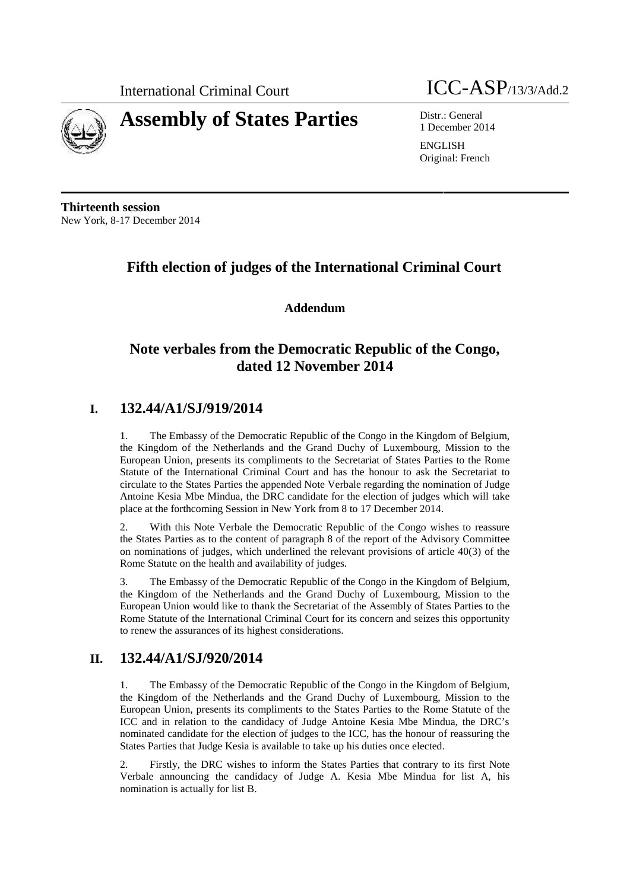

# **Assembly of States Parties** Distr.: General



1 December 2014

ENGLISH Original: French

**Thirteenth session** New York, 8-17 December 2014

## **Fifth election of judges of the International Criminal Court**

**Addendum**

## **Note verbales from the Democratic Republic of the Congo, dated 12 November 2014**

### **I. 132.44/A1/SJ/919/2014**

1. The Embassy of the Democratic Republic of the Congo in the Kingdom of Belgium, the Kingdom of the Netherlands and the Grand Duchy of Luxembourg, Mission to the European Union, presents its compliments to the Secretariat of States Parties to the Rome Statute of the International Criminal Court and has the honour to ask the Secretariat to circulate to the States Parties the appended Note Verbale regarding the nomination of Judge Antoine Kesia Mbe Mindua, the DRC candidate for the election of judges which will take place at the forthcoming Session in New York from 8 to 17 December 2014.

2. With this Note Verbale the Democratic Republic of the Congo wishes to reassure the States Parties as to the content of paragraph 8 of the report of the Advisory Committee on nominations of judges, which underlined the relevant provisions of article 40(3) of the Rome Statute on the health and availability of judges.

3. The Embassy of the Democratic Republic of the Congo in the Kingdom of Belgium, the Kingdom of the Netherlands and the Grand Duchy of Luxembourg, Mission to the European Union would like to thank the Secretariat of the Assembly of States Parties to the Rome Statute of the International Criminal Court for its concern and seizes this opportunity to renew the assurances of its highest considerations.

### **II. 132.44/A1/SJ/920/2014**

1. The Embassy of the Democratic Republic of the Congo in the Kingdom of Belgium, the Kingdom of the Netherlands and the Grand Duchy of Luxembourg, Mission to the European Union, presents its compliments to the States Parties to the Rome Statute of the ICC and in relation to the candidacy of Judge Antoine Kesia Mbe Mindua, the DRC's nominated candidate for the election of judges to the ICC, has the honour of reassuring the States Parties that Judge Kesia is available to take up his duties once elected.

2. Firstly, the DRC wishes to inform the States Parties that contrary to its first Note Verbale announcing the candidacy of Judge A. Kesia Mbe Mindua for list A, his nomination is actually for list B.